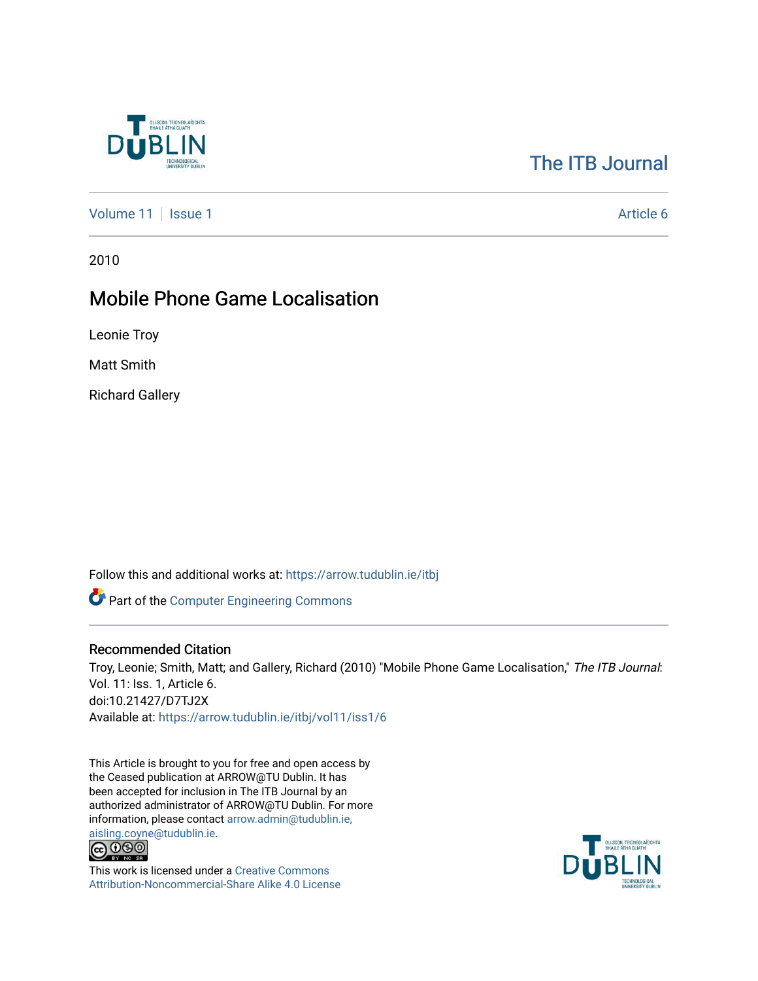

# [The ITB Journal](https://arrow.tudublin.ie/itbj)

[Volume 11](https://arrow.tudublin.ie/itbj/vol11) | [Issue 1](https://arrow.tudublin.ie/itbj/vol11/iss1) Article 6

2010

## Mobile Phone Game Localisation

Leonie Troy

Matt Smith

Richard Gallery

Follow this and additional works at: [https://arrow.tudublin.ie/itbj](https://arrow.tudublin.ie/itbj?utm_source=arrow.tudublin.ie%2Fitbj%2Fvol11%2Fiss1%2F6&utm_medium=PDF&utm_campaign=PDFCoverPages) 

Part of the [Computer Engineering Commons](http://network.bepress.com/hgg/discipline/258?utm_source=arrow.tudublin.ie%2Fitbj%2Fvol11%2Fiss1%2F6&utm_medium=PDF&utm_campaign=PDFCoverPages) 

#### Recommended Citation

Troy, Leonie; Smith, Matt; and Gallery, Richard (2010) "Mobile Phone Game Localisation," The ITB Journal: Vol. 11: Iss. 1, Article 6. doi:10.21427/D7TJ2X Available at: [https://arrow.tudublin.ie/itbj/vol11/iss1/6](https://arrow.tudublin.ie/itbj/vol11/iss1/6?utm_source=arrow.tudublin.ie%2Fitbj%2Fvol11%2Fiss1%2F6&utm_medium=PDF&utm_campaign=PDFCoverPages)

This Article is brought to you for free and open access by the Ceased publication at ARROW@TU Dublin. It has been accepted for inclusion in The ITB Journal by an authorized administrator of ARROW@TU Dublin. For more information, please contact [arrow.admin@tudublin.ie,](mailto:arrow.admin@tudublin.ie,%20aisling.coyne@tudublin.ie) 



This work is licensed under a [Creative Commons](http://creativecommons.org/licenses/by-nc-sa/4.0/) [Attribution-Noncommercial-Share Alike 4.0 License](http://creativecommons.org/licenses/by-nc-sa/4.0/)

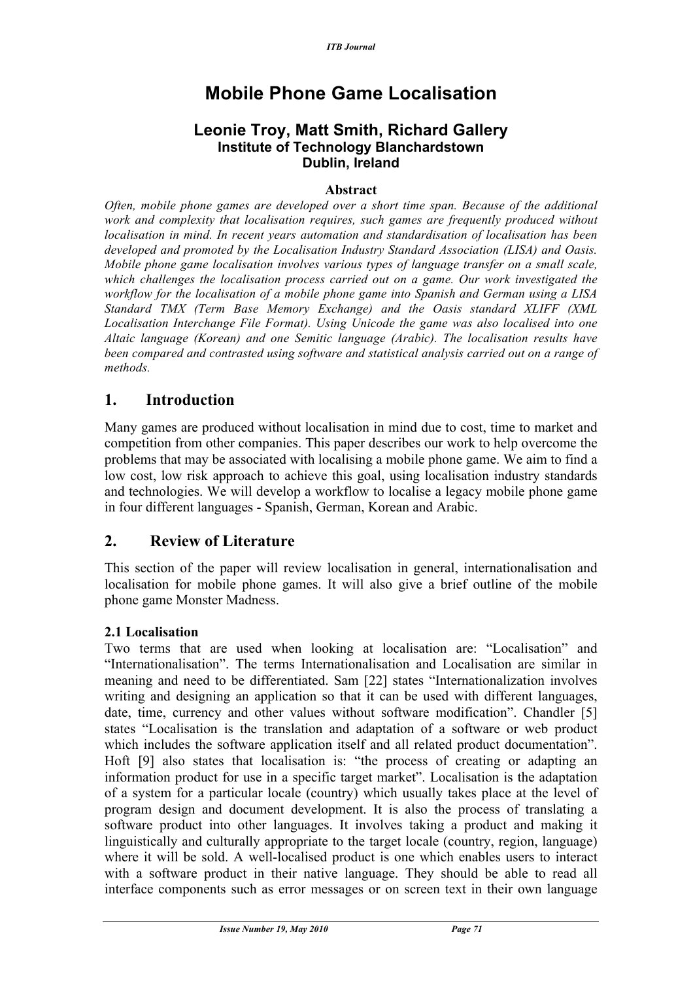# **Mobile Phone Game Localisation**

## **Leonie Troy, Matt Smith, Richard Gallery Institute of Technology Blanchardstown Dublin, Ireland**

#### **Abstract**

*Often, mobile phone games are developed over a short time span. Because of the additional work and complexity that localisation requires, such games are frequently produced without localisation in mind. In recent years automation and standardisation of localisation has been developed and promoted by the Localisation Industry Standard Association (LISA) and Oasis. Mobile phone game localisation involves various types of language transfer on a small scale, which challenges the localisation process carried out on a game. Our work investigated the workflow for the localisation of a mobile phone game into Spanish and German using a LISA Standard TMX (Term Base Memory Exchange) and the Oasis standard XLIFF (XML Localisation Interchange File Format). Using Unicode the game was also localised into one Altaic language (Korean) and one Semitic language (Arabic). The localisation results have been compared and contrasted using software and statistical analysis carried out on a range of methods.*

## **1. Introduction**

Many games are produced without localisation in mind due to cost, time to market and competition from other companies. This paper describes our work to help overcome the problems that may be associated with localising a mobile phone game. We aim to find a low cost, low risk approach to achieve this goal, using localisation industry standards and technologies. We will develop a workflow to localise a legacy mobile phone game in four different languages - Spanish, German, Korean and Arabic.

## **2. Review of Literature**

This section of the paper will review localisation in general, internationalisation and localisation for mobile phone games. It will also give a brief outline of the mobile phone game Monster Madness.

#### **2.1 Localisation**

Two terms that are used when looking at localisation are: "Localisation" and "Internationalisation". The terms Internationalisation and Localisation are similar in meaning and need to be differentiated. Sam [22] states "Internationalization involves writing and designing an application so that it can be used with different languages, date, time, currency and other values without software modification". Chandler [5] states "Localisation is the translation and adaptation of a software or web product which includes the software application itself and all related product documentation". Hoft [9] also states that localisation is: "the process of creating or adapting an information product for use in a specific target market". Localisation is the adaptation of a system for a particular locale (country) which usually takes place at the level of program design and document development. It is also the process of translating a software product into other languages. It involves taking a product and making it linguistically and culturally appropriate to the target locale (country, region, language) where it will be sold. A well-localised product is one which enables users to interact with a software product in their native language. They should be able to read all interface components such as error messages or on screen text in their own language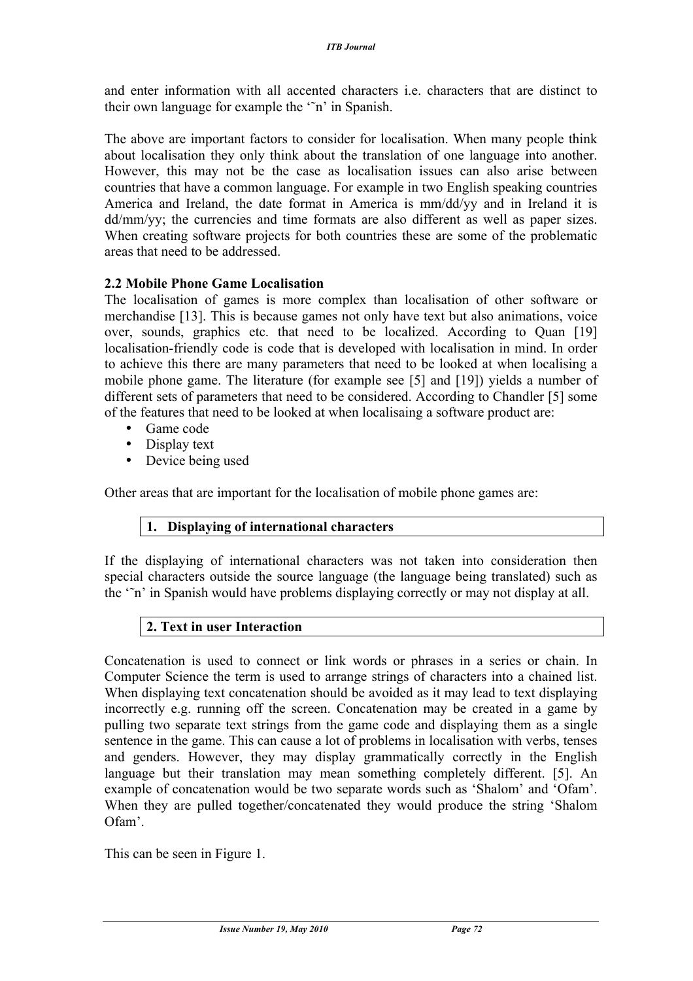and enter information with all accented characters i.e. characters that are distinct to their own language for example the '˜n' in Spanish.

The above are important factors to consider for localisation. When many people think about localisation they only think about the translation of one language into another. However, this may not be the case as localisation issues can also arise between countries that have a common language. For example in two English speaking countries America and Ireland, the date format in America is mm/dd/yy and in Ireland it is dd/mm/yy; the currencies and time formats are also different as well as paper sizes. When creating software projects for both countries these are some of the problematic areas that need to be addressed.

## **2.2 Mobile Phone Game Localisation**

The localisation of games is more complex than localisation of other software or merchandise [13]. This is because games not only have text but also animations, voice over, sounds, graphics etc. that need to be localized. According to Quan [19] localisation-friendly code is code that is developed with localisation in mind. In order to achieve this there are many parameters that need to be looked at when localising a mobile phone game. The literature (for example see [5] and [19]) yields a number of different sets of parameters that need to be considered. According to Chandler [5] some of the features that need to be looked at when localisaing a software product are:

- Game code
- Display text
- Device being used

Other areas that are important for the localisation of mobile phone games are:

#### **1. Displaying of international characters**

If the displaying of international characters was not taken into consideration then special characters outside the source language (the language being translated) such as the '˜n' in Spanish would have problems displaying correctly or may not display at all.

#### **2. Text in user Interaction**

Concatenation is used to connect or link words or phrases in a series or chain. In Computer Science the term is used to arrange strings of characters into a chained list. When displaying text concatenation should be avoided as it may lead to text displaying incorrectly e.g. running off the screen. Concatenation may be created in a game by pulling two separate text strings from the game code and displaying them as a single sentence in the game. This can cause a lot of problems in localisation with verbs, tenses and genders. However, they may display grammatically correctly in the English language but their translation may mean something completely different. [5]. An example of concatenation would be two separate words such as 'Shalom' and 'Ofam'. When they are pulled together/concatenated they would produce the string 'Shalom Ofam'.

This can be seen in Figure 1.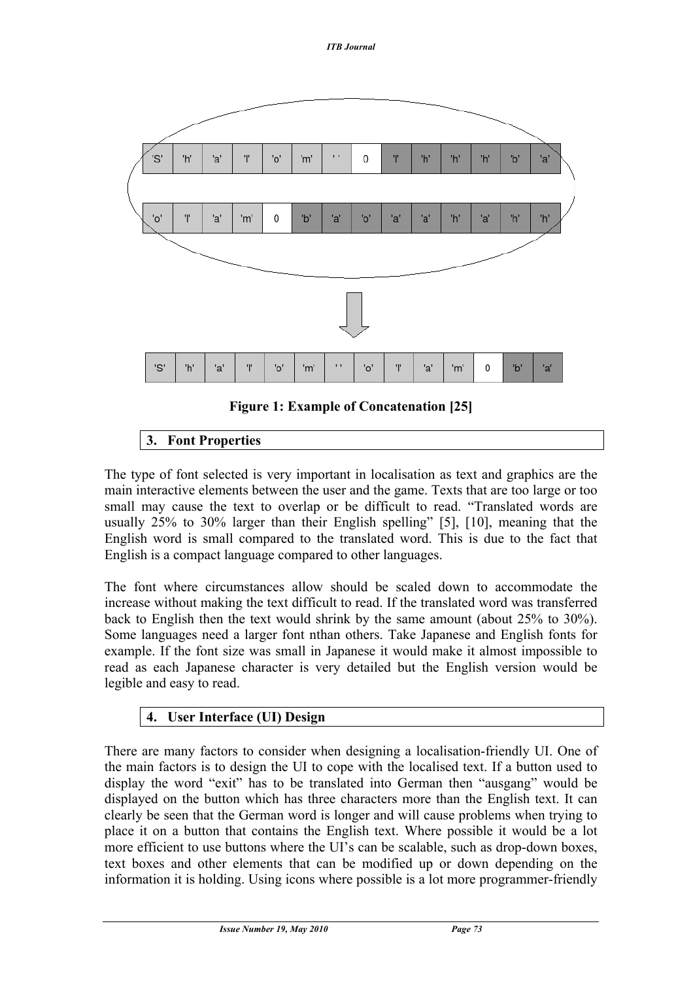

## **Figure 1: Example of Concatenation [25]**

## **3. Font Properties**

The type of font selected is very important in localisation as text and graphics are the main interactive elements between the user and the game. Texts that are too large or too small may cause the text to overlap or be difficult to read. "Translated words are usually 25% to 30% larger than their English spelling" [5], [10], meaning that the English word is small compared to the translated word. This is due to the fact that English is a compact language compared to other languages.

The font where circumstances allow should be scaled down to accommodate the increase without making the text difficult to read. If the translated word was transferred back to English then the text would shrink by the same amount (about 25% to 30%). Some languages need a larger font nthan others. Take Japanese and English fonts for example. If the font size was small in Japanese it would make it almost impossible to read as each Japanese character is very detailed but the English version would be legible and easy to read.

## **4. User Interface (UI) Design**

There are many factors to consider when designing a localisation-friendly UI. One of the main factors is to design the UI to cope with the localised text. If a button used to display the word "exit" has to be translated into German then "ausgang" would be displayed on the button which has three characters more than the English text. It can clearly be seen that the German word is longer and will cause problems when trying to place it on a button that contains the English text. Where possible it would be a lot more efficient to use buttons where the UI's can be scalable, such as drop-down boxes, text boxes and other elements that can be modified up or down depending on the information it is holding. Using icons where possible is a lot more programmer-friendly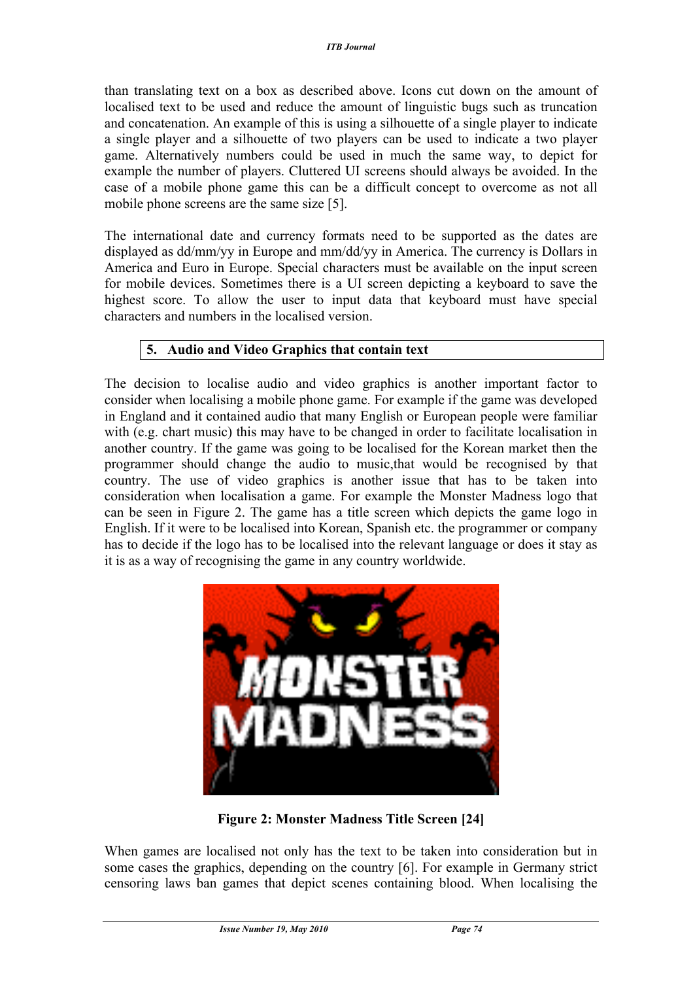than translating text on a box as described above. Icons cut down on the amount of localised text to be used and reduce the amount of linguistic bugs such as truncation and concatenation. An example of this is using a silhouette of a single player to indicate a single player and a silhouette of two players can be used to indicate a two player game. Alternatively numbers could be used in much the same way, to depict for example the number of players. Cluttered UI screens should always be avoided. In the case of a mobile phone game this can be a difficult concept to overcome as not all mobile phone screens are the same size [5].

The international date and currency formats need to be supported as the dates are displayed as dd/mm/yy in Europe and mm/dd/yy in America. The currency is Dollars in America and Euro in Europe. Special characters must be available on the input screen for mobile devices. Sometimes there is a UI screen depicting a keyboard to save the highest score. To allow the user to input data that keyboard must have special characters and numbers in the localised version.

## **5. Audio and Video Graphics that contain text**

The decision to localise audio and video graphics is another important factor to consider when localising a mobile phone game. For example if the game was developed in England and it contained audio that many English or European people were familiar with (e.g. chart music) this may have to be changed in order to facilitate localisation in another country. If the game was going to be localised for the Korean market then the programmer should change the audio to music,that would be recognised by that country. The use of video graphics is another issue that has to be taken into consideration when localisation a game. For example the Monster Madness logo that can be seen in Figure 2. The game has a title screen which depicts the game logo in English. If it were to be localised into Korean, Spanish etc. the programmer or company has to decide if the logo has to be localised into the relevant language or does it stay as it is as a way of recognising the game in any country worldwide.



**Figure 2: Monster Madness Title Screen [24]**

When games are localised not only has the text to be taken into consideration but in some cases the graphics, depending on the country [6]. For example in Germany strict censoring laws ban games that depict scenes containing blood. When localising the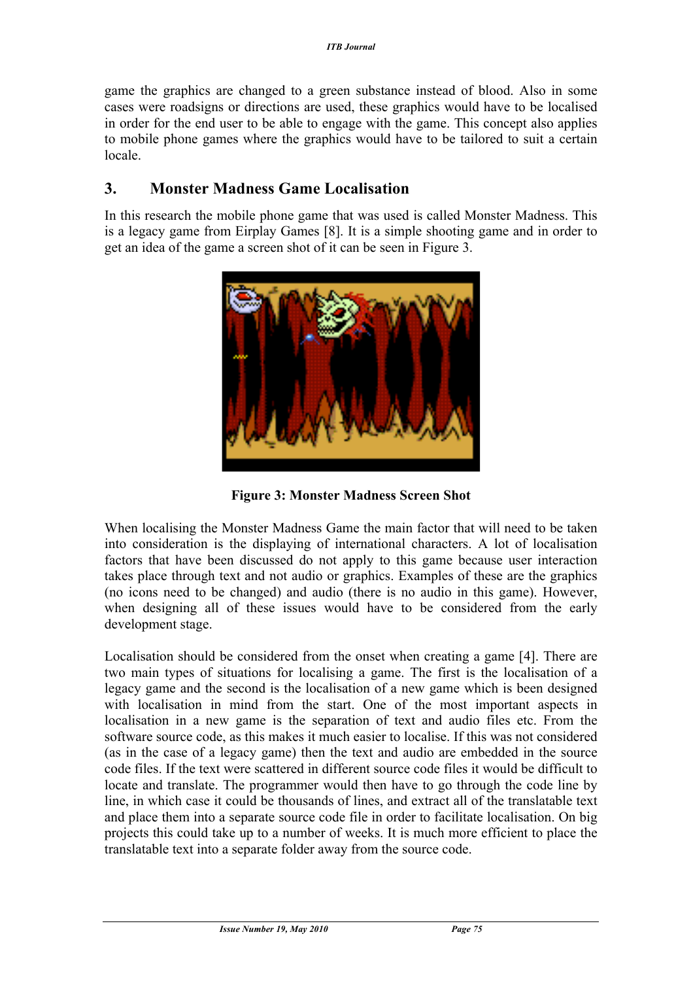game the graphics are changed to a green substance instead of blood. Also in some cases were roadsigns or directions are used, these graphics would have to be localised in order for the end user to be able to engage with the game. This concept also applies to mobile phone games where the graphics would have to be tailored to suit a certain locale.

## **3. Monster Madness Game Localisation**

In this research the mobile phone game that was used is called Monster Madness. This is a legacy game from Eirplay Games [8]. It is a simple shooting game and in order to get an idea of the game a screen shot of it can be seen in Figure 3.



**Figure 3: Monster Madness Screen Shot**

When localising the Monster Madness Game the main factor that will need to be taken into consideration is the displaying of international characters. A lot of localisation factors that have been discussed do not apply to this game because user interaction takes place through text and not audio or graphics. Examples of these are the graphics (no icons need to be changed) and audio (there is no audio in this game). However, when designing all of these issues would have to be considered from the early development stage.

Localisation should be considered from the onset when creating a game [4]. There are two main types of situations for localising a game. The first is the localisation of a legacy game and the second is the localisation of a new game which is been designed with localisation in mind from the start. One of the most important aspects in localisation in a new game is the separation of text and audio files etc. From the software source code, as this makes it much easier to localise. If this was not considered (as in the case of a legacy game) then the text and audio are embedded in the source code files. If the text were scattered in different source code files it would be difficult to locate and translate. The programmer would then have to go through the code line by line, in which case it could be thousands of lines, and extract all of the translatable text and place them into a separate source code file in order to facilitate localisation. On big projects this could take up to a number of weeks. It is much more efficient to place the translatable text into a separate folder away from the source code.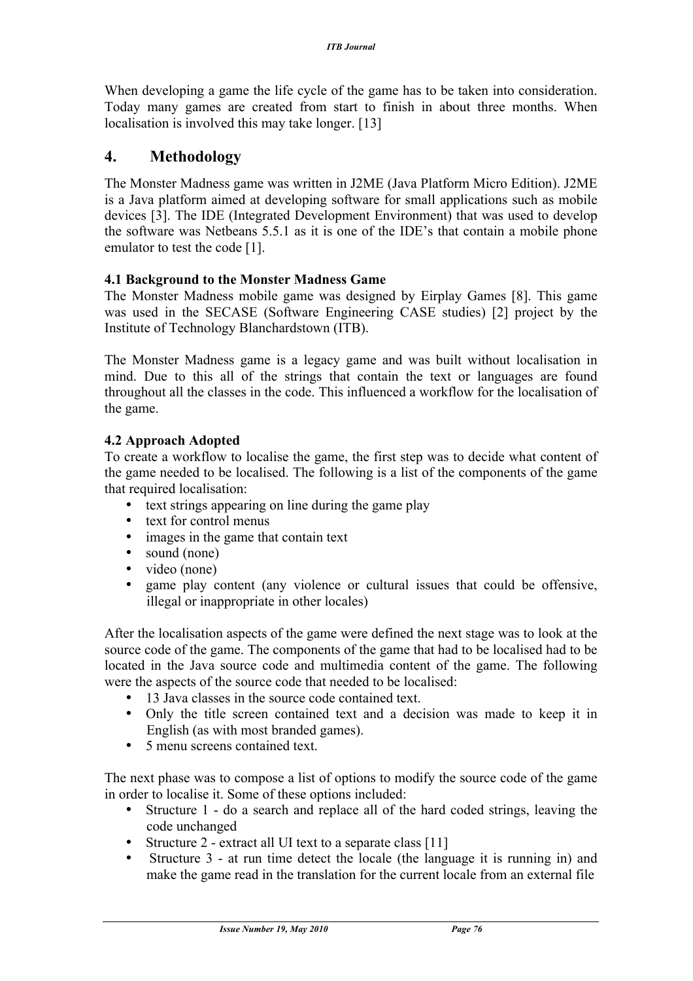When developing a game the life cycle of the game has to be taken into consideration. Today many games are created from start to finish in about three months. When localisation is involved this may take longer. [13]

## **4. Methodology**

The Monster Madness game was written in J2ME (Java Platform Micro Edition). J2ME is a Java platform aimed at developing software for small applications such as mobile devices [3]. The IDE (Integrated Development Environment) that was used to develop the software was Netbeans 5.5.1 as it is one of the IDE's that contain a mobile phone emulator to test the code [1].

#### **4.1 Background to the Monster Madness Game**

The Monster Madness mobile game was designed by Eirplay Games [8]. This game was used in the SECASE (Software Engineering CASE studies) [2] project by the Institute of Technology Blanchardstown (ITB).

The Monster Madness game is a legacy game and was built without localisation in mind. Due to this all of the strings that contain the text or languages are found throughout all the classes in the code. This influenced a workflow for the localisation of the game.

## **4.2 Approach Adopted**

To create a workflow to localise the game, the first step was to decide what content of the game needed to be localised. The following is a list of the components of the game that required localisation:

- text strings appearing on line during the game play
- text for control menus
- images in the game that contain text
- sound (none)<br>• video (none)
- video (none)<br>• game play c
- game play content (any violence or cultural issues that could be offensive, illegal or inappropriate in other locales)

After the localisation aspects of the game were defined the next stage was to look at the source code of the game. The components of the game that had to be localised had to be located in the Java source code and multimedia content of the game. The following were the aspects of the source code that needed to be localised:

- 13 Java classes in the source code contained text.
- Only the title screen contained text and a decision was made to keep it in English (as with most branded games).
- 5 menu screens contained text.

The next phase was to compose a list of options to modify the source code of the game in order to localise it. Some of these options included:

- Structure 1 do a search and replace all of the hard coded strings, leaving the code unchanged
- Structure 2 extract all UI text to a separate class [11]
- Structure 3 at run time detect the locale (the language it is running in) and make the game read in the translation for the current locale from an external file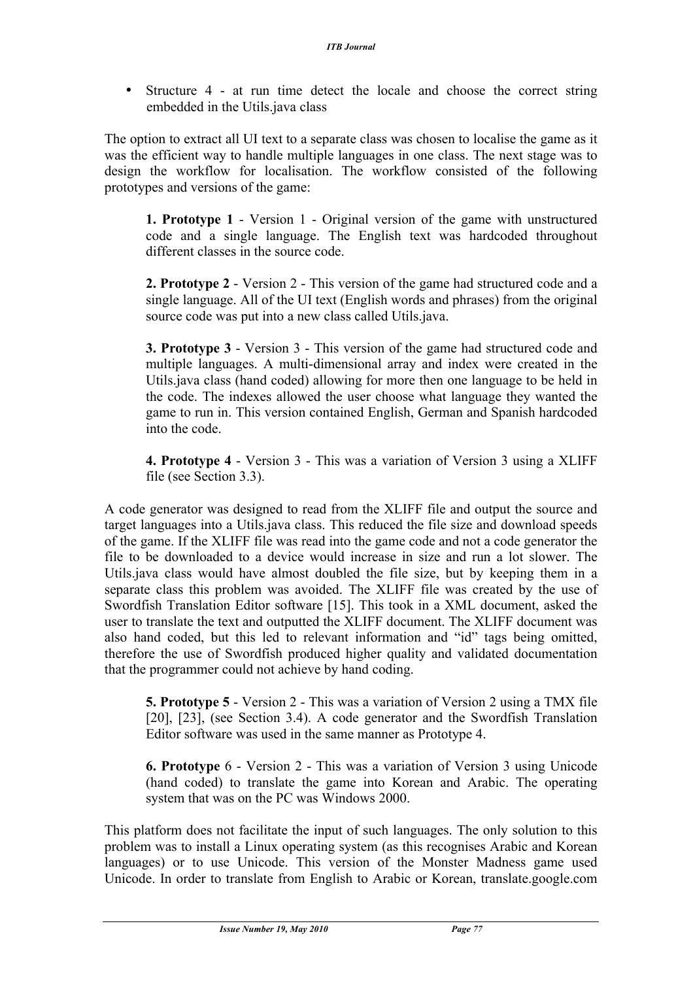• Structure 4 - at run time detect the locale and choose the correct string embedded in the Utils.java class

The option to extract all UI text to a separate class was chosen to localise the game as it was the efficient way to handle multiple languages in one class. The next stage was to design the workflow for localisation. The workflow consisted of the following prototypes and versions of the game:

**1. Prototype 1** - Version 1 - Original version of the game with unstructured code and a single language. The English text was hardcoded throughout different classes in the source code.

**2. Prototype 2** - Version 2 - This version of the game had structured code and a single language. All of the UI text (English words and phrases) from the original source code was put into a new class called Utils.java.

**3. Prototype 3** - Version 3 - This version of the game had structured code and multiple languages. A multi-dimensional array and index were created in the Utils.java class (hand coded) allowing for more then one language to be held in the code. The indexes allowed the user choose what language they wanted the game to run in. This version contained English, German and Spanish hardcoded into the code.

**4. Prototype 4** - Version 3 - This was a variation of Version 3 using a XLIFF file (see Section 3.3).

A code generator was designed to read from the XLIFF file and output the source and target languages into a Utils.java class. This reduced the file size and download speeds of the game. If the XLIFF file was read into the game code and not a code generator the file to be downloaded to a device would increase in size and run a lot slower. The Utils.java class would have almost doubled the file size, but by keeping them in a separate class this problem was avoided. The XLIFF file was created by the use of Swordfish Translation Editor software [15]. This took in a XML document, asked the user to translate the text and outputted the XLIFF document. The XLIFF document was also hand coded, but this led to relevant information and "id" tags being omitted, therefore the use of Swordfish produced higher quality and validated documentation that the programmer could not achieve by hand coding.

**5. Prototype 5** - Version 2 - This was a variation of Version 2 using a TMX file [20], [23], (see Section 3.4). A code generator and the Swordfish Translation Editor software was used in the same manner as Prototype 4.

**6. Prototype** 6 - Version 2 - This was a variation of Version 3 using Unicode (hand coded) to translate the game into Korean and Arabic. The operating system that was on the PC was Windows 2000.

This platform does not facilitate the input of such languages. The only solution to this problem was to install a Linux operating system (as this recognises Arabic and Korean languages) or to use Unicode. This version of the Monster Madness game used Unicode. In order to translate from English to Arabic or Korean, translate.google.com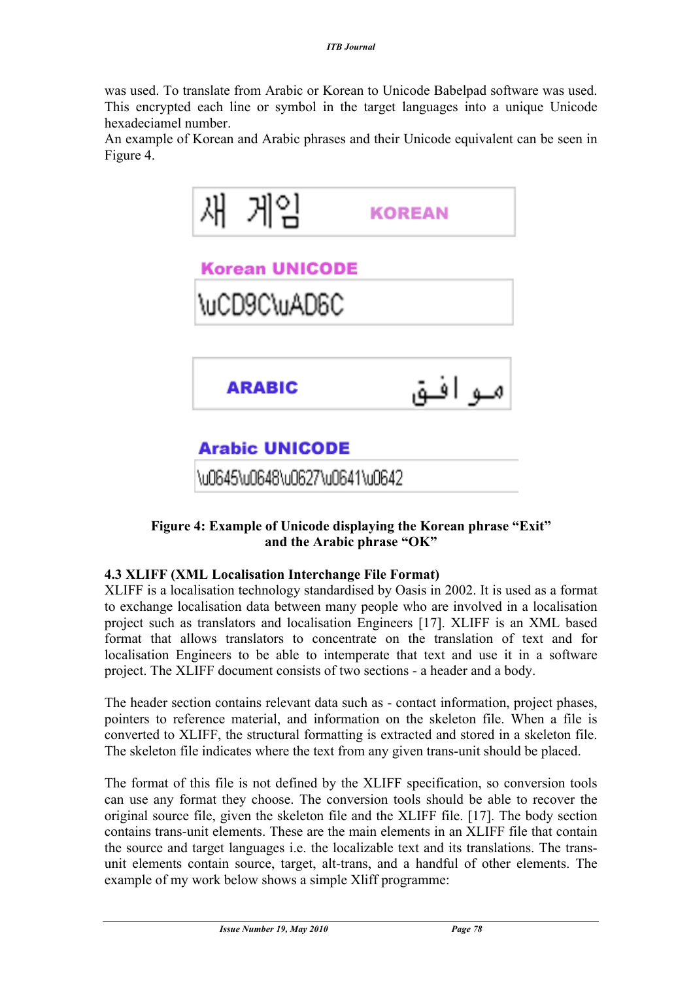was used. To translate from Arabic or Korean to Unicode Babelpad software was used. This encrypted each line or symbol in the target languages into a unique Unicode hexadeciamel number.

An example of Korean and Arabic phrases and their Unicode equivalent can be seen in Figure 4.



#### **Figure 4: Example of Unicode displaying the Korean phrase "Exit" and the Arabic phrase "OK"**

#### **4.3 XLIFF (XML Localisation Interchange File Format)**

XLIFF is a localisation technology standardised by Oasis in 2002. It is used as a format to exchange localisation data between many people who are involved in a localisation project such as translators and localisation Engineers [17]. XLIFF is an XML based format that allows translators to concentrate on the translation of text and for localisation Engineers to be able to intemperate that text and use it in a software project. The XLIFF document consists of two sections - a header and a body.

The header section contains relevant data such as - contact information, project phases, pointers to reference material, and information on the skeleton file. When a file is converted to XLIFF, the structural formatting is extracted and stored in a skeleton file. The skeleton file indicates where the text from any given trans-unit should be placed.

The format of this file is not defined by the XLIFF specification, so conversion tools can use any format they choose. The conversion tools should be able to recover the original source file, given the skeleton file and the XLIFF file. [17]. The body section contains trans-unit elements. These are the main elements in an XLIFF file that contain the source and target languages i.e. the localizable text and its translations. The transunit elements contain source, target, alt-trans, and a handful of other elements. The example of my work below shows a simple Xliff programme: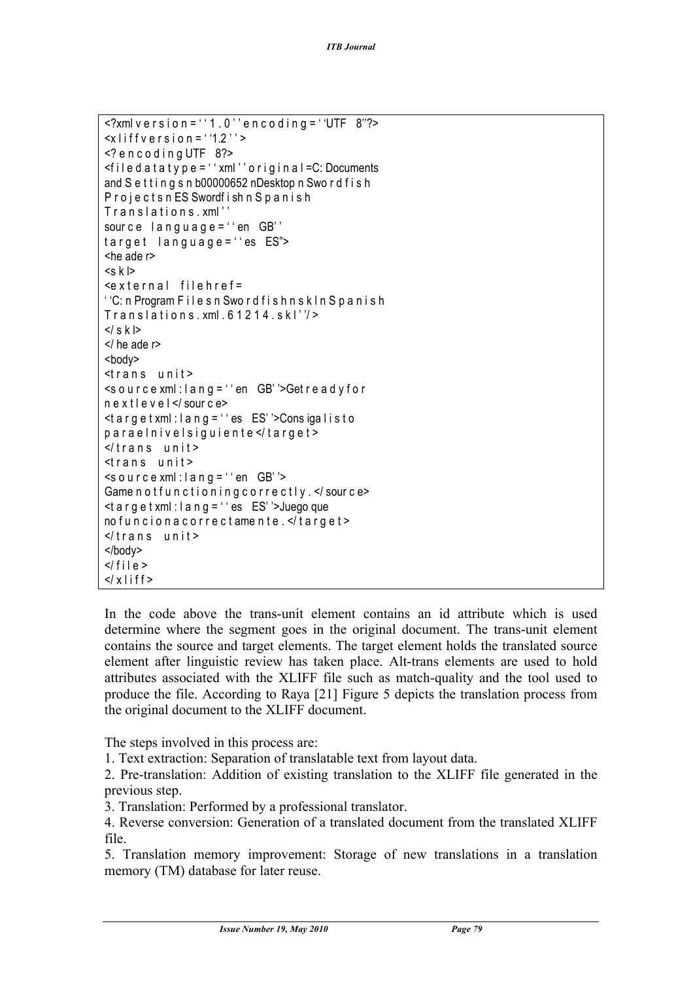```
\leq?xml v e r s i o n = ' ' 1 . 0 ' ' e n c o d i n g = ' 'UTF 8"?>
\leqxliff v e r s i o n = ''1.2'' >
\leq? encoding UTF 8?>
\leq filed at a type = '' xml'' original = C: Documents
and S e t t i n g s n b00000652 nDesktop n Swo r d f i s h
P r o j e c t s n ES Swordf i sh n S p a n i s h
Translations.xml"
source lang uage = ' en GB'target language="es ES">
<he ade r>
<s k l>
\epsilon x t e r n a l file h r e f =
' 'C: n Program F i l e s n Swo r d f i s h n s k l n S p a n i s h
Translations xml.61214. skl''</ s k l>
</ he ade r>
<body>
<trans unit >
\leqsource xml: lang = '' en GB' '>Get ready for
n e x t l e v e l </ sour c e>
\leqtarget xml: lang = '' es ES' '> Consigalisto
p a r a e l n i v e l s i g u i e n t e </ t a r g e t >
\frac{1}{2} trans unit >
strans unit >\leqs o u r c e xml : l a n g = ' ' en GB' '>
Game not functioning correctly. </source>
\leqt a r q e t xml : l a n q = ' ' es ES' '> Juego que
no funcion a correctamente. </target>
\frac{1}{2} \frac{1}{2} \frac{1}{2} \frac{1}{2} \frac{1}{2} \frac{1}{2} \frac{1}{2} \frac{1}{2} \frac{1}{2} \frac{1}{2} \frac{1}{2} \frac{1}{2} \frac{1}{2} \frac{1}{2} \frac{1}{2} \frac{1}{2} \frac{1}{2} \frac{1}{2} \frac{1}{2} \frac{1}{2} \frac{1}{2} \frac{1}{2} </body>
\langle file >
\langle x \rangle if f >
```
In the code above the trans-unit element contains an id attribute which is used determine where the segment goes in the original document. The trans-unit element contains the source and target elements. The target element holds the translated source element after linguistic review has taken place. Alt-trans elements are used to hold attributes associated with the XLIFF file such as match-quality and the tool used to produce the file. According to Raya [21] Figure 5 depicts the translation process from the original document to the XLIFF document.

The steps involved in this process are:

1. Text extraction: Separation of translatable text from layout data.

2. Pre-translation: Addition of existing translation to the XLIFF file generated in the previous step.

3. Translation: Performed by a professional translator.

4. Reverse conversion: Generation of a translated document from the translated XLIFF file.

5. Translation memory improvement: Storage of new translations in a translation memory (TM) database for later reuse.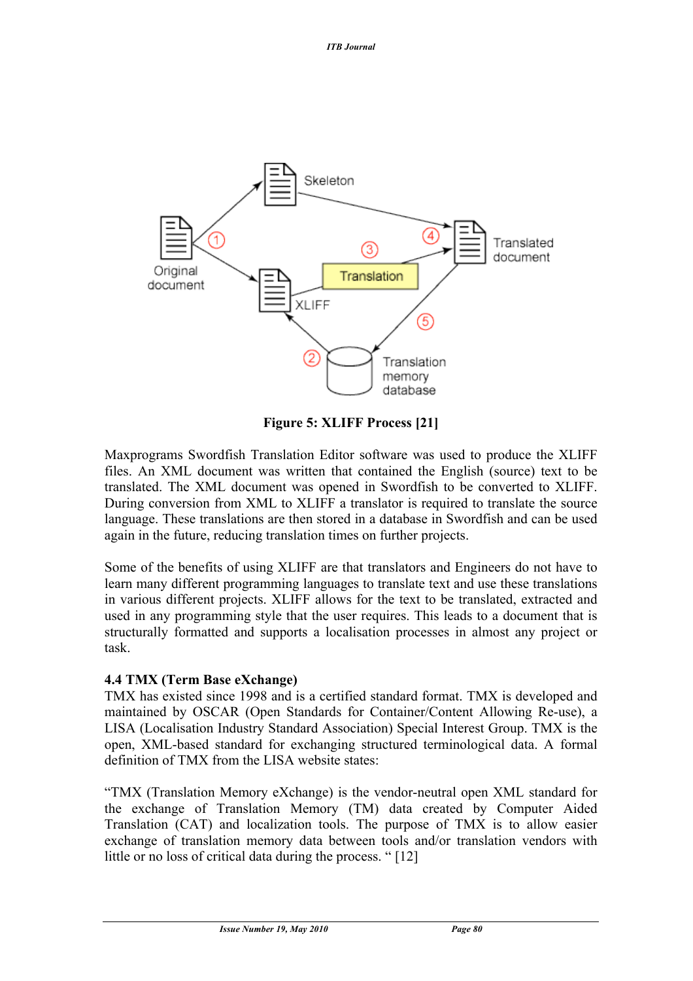

**Figure 5: XLIFF Process [21]**

Maxprograms Swordfish Translation Editor software was used to produce the XLIFF files. An XML document was written that contained the English (source) text to be translated. The XML document was opened in Swordfish to be converted to XLIFF. During conversion from XML to XLIFF a translator is required to translate the source language. These translations are then stored in a database in Swordfish and can be used again in the future, reducing translation times on further projects.

Some of the benefits of using XLIFF are that translators and Engineers do not have to learn many different programming languages to translate text and use these translations in various different projects. XLIFF allows for the text to be translated, extracted and used in any programming style that the user requires. This leads to a document that is structurally formatted and supports a localisation processes in almost any project or task.

## **4.4 TMX (Term Base eXchange)**

TMX has existed since 1998 and is a certified standard format. TMX is developed and maintained by OSCAR (Open Standards for Container/Content Allowing Re-use), a LISA (Localisation Industry Standard Association) Special Interest Group. TMX is the open, XML-based standard for exchanging structured terminological data. A formal definition of TMX from the LISA website states:

"TMX (Translation Memory eXchange) is the vendor-neutral open XML standard for the exchange of Translation Memory (TM) data created by Computer Aided Translation (CAT) and localization tools. The purpose of TMX is to allow easier exchange of translation memory data between tools and/or translation vendors with little or no loss of critical data during the process. " [12]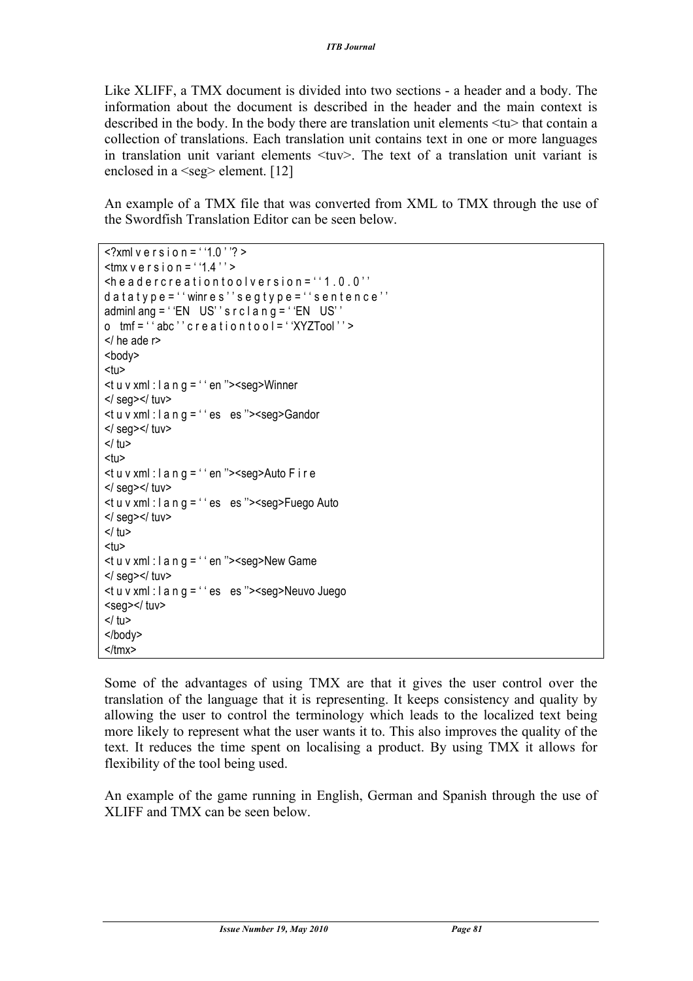Like XLIFF, a TMX document is divided into two sections - a header and a body. The information about the document is described in the header and the main context is described in the body. In the body there are translation unit elements  $\langle tu \rangle$  that contain a collection of translations. Each translation unit contains text in one or more languages in translation unit variant elements <tuv>. The text of a translation unit variant is enclosed in a <seg> element. [12]

An example of a TMX file that was converted from XML to TMX through the use of the Swordfish Translation Editor can be seen below.

```
\langle?xml v e r s i o n = ''1.0''? >
\text{Im} x \vee \text{er} \sin \theta = 1.4\leqhe a dercreation tool version = ''1.0.0''
d a t a t y p e = ' ' winr e s''s e g t y p e = ' ' s e n t e n c e''
adminl ang = 'EN US' 's r c l a n g = 'EN US''
o tmf = ' abc'' c r e a t i o n t o o I = ' 'XYZTool'' >
</ he ade r>
<body>
<tu>ltt u v xml : l a n g = ' ' en ">ltseg>Winner
</ seg></ tuv>
ltu v xml : l a n g = " es es "> <seg > Gandor
</ seg></ tuv>
</tu>
<sub>11</sub></sub>
lttu v xml : l a n g = '' en ">\leqseg>Auto F i r e
</ seg></ tuv>
\leqt u v xml : l a n g = ' ' es es ">\leqseg>Fuego Auto
</ seg></ tuv>
</tu>
<tu>ltu v xml : l a n g = ' ' en ">ltseg>New Game
</ seg>/ tuv><t u v xml : l a n g = " es es "><seg>Neuvo Juego
<seg></tuv>
</tu></body>
</tmx>
```
Some of the advantages of using TMX are that it gives the user control over the translation of the language that it is representing. It keeps consistency and quality by allowing the user to control the terminology which leads to the localized text being more likely to represent what the user wants it to. This also improves the quality of the text. It reduces the time spent on localising a product. By using TMX it allows for flexibility of the tool being used.

An example of the game running in English, German and Spanish through the use of XLIFF and TMX can be seen below.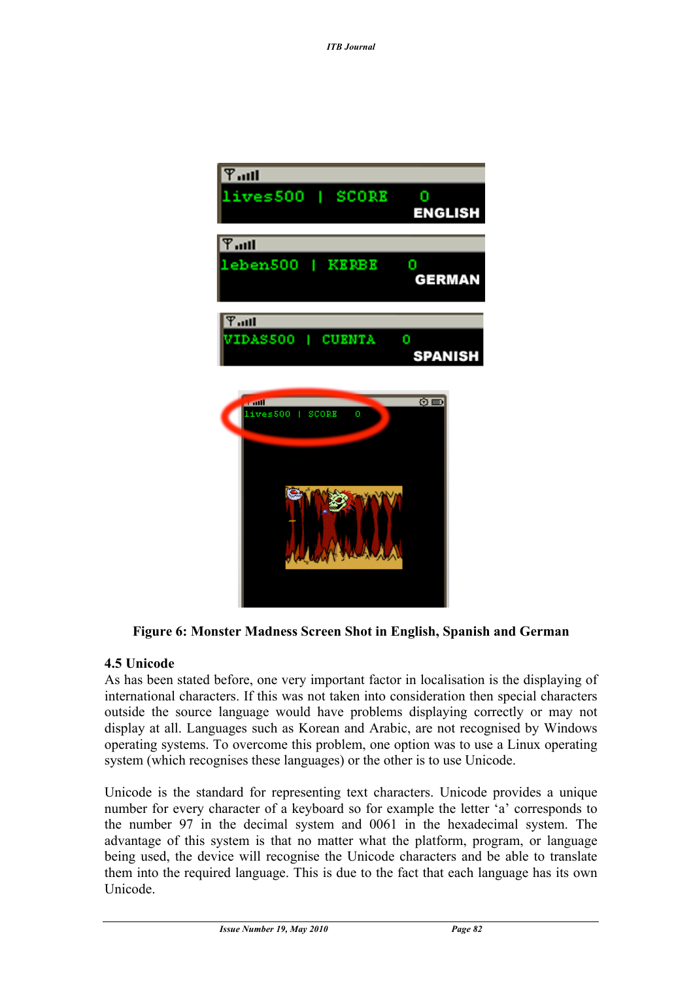

**Figure 6: Monster Madness Screen Shot in English, Spanish and German**

## **4.5 Unicode**

As has been stated before, one very important factor in localisation is the displaying of international characters. If this was not taken into consideration then special characters outside the source language would have problems displaying correctly or may not display at all. Languages such as Korean and Arabic, are not recognised by Windows operating systems. To overcome this problem, one option was to use a Linux operating system (which recognises these languages) or the other is to use Unicode.

Unicode is the standard for representing text characters. Unicode provides a unique number for every character of a keyboard so for example the letter 'a' corresponds to the number 97 in the decimal system and 0061 in the hexadecimal system. The advantage of this system is that no matter what the platform, program, or language being used, the device will recognise the Unicode characters and be able to translate them into the required language. This is due to the fact that each language has its own Unicode.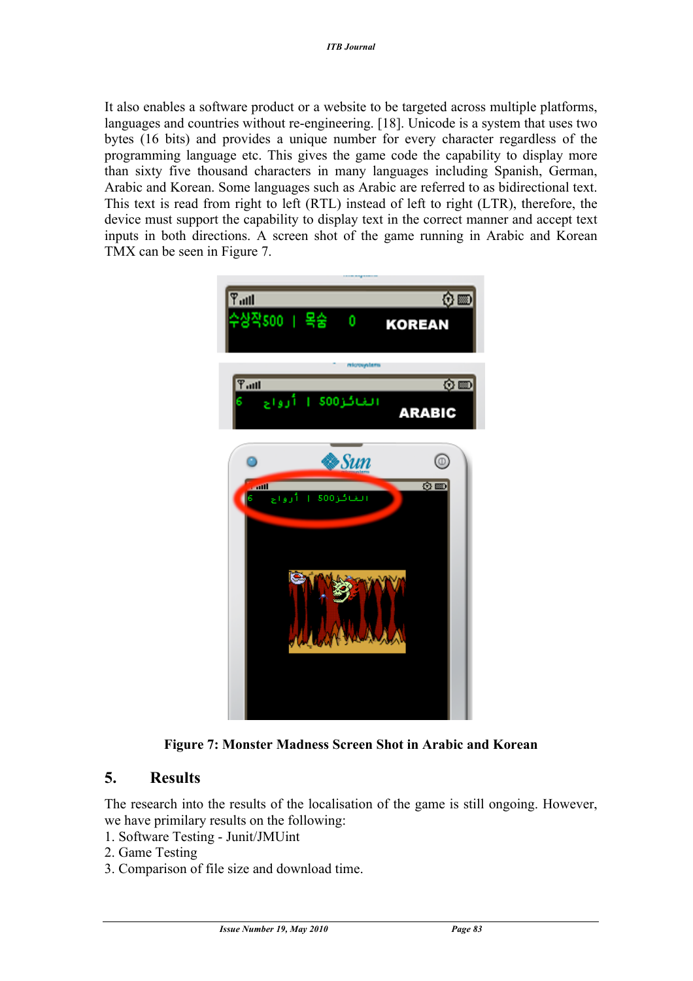It also enables a software product or a website to be targeted across multiple platforms, languages and countries without re-engineering. [18]. Unicode is a system that uses two bytes (16 bits) and provides a unique number for every character regardless of the programming language etc. This gives the game code the capability to display more than sixty five thousand characters in many languages including Spanish, German, Arabic and Korean. Some languages such as Arabic are referred to as bidirectional text. This text is read from right to left (RTL) instead of left to right (LTR), therefore, the device must support the capability to display text in the correct manner and accept text inputs in both directions. A screen shot of the game running in Arabic and Korean TMX can be seen in Figure 7.



**Figure 7: Monster Madness Screen Shot in Arabic and Korean**

## **5. Results**

The research into the results of the localisation of the game is still ongoing. However, we have primilary results on the following:

- 1. Software Testing Junit/JMUint
- 2. Game Testing
- 3. Comparison of file size and download time.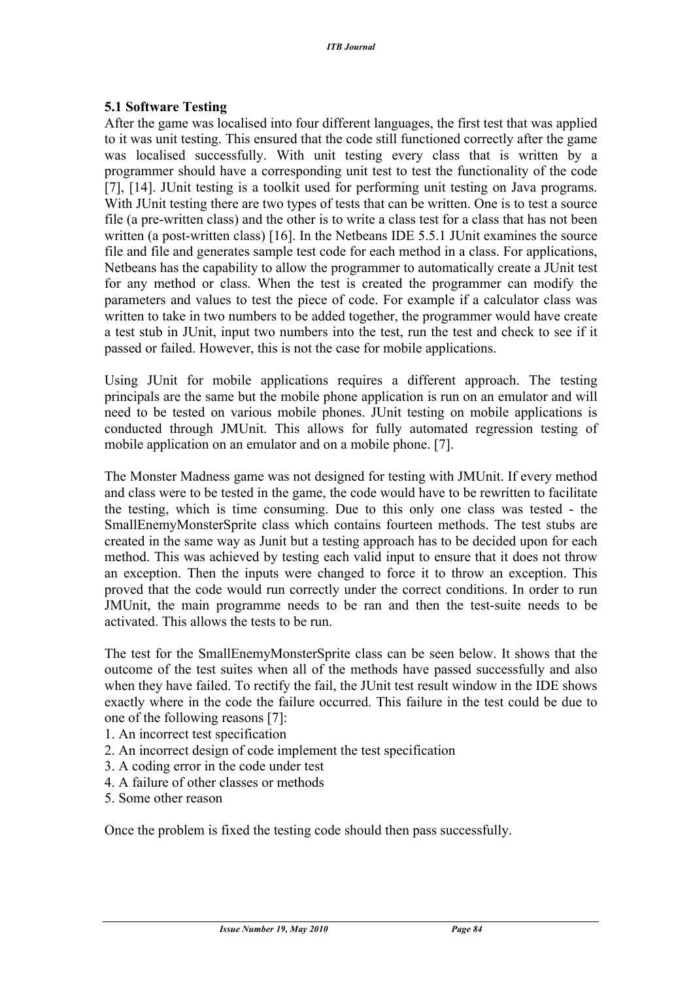#### **5.1 Software Testing**

After the game was localised into four different languages, the first test that was applied to it was unit testing. This ensured that the code still functioned correctly after the game was localised successfully. With unit testing every class that is written by a programmer should have a corresponding unit test to test the functionality of the code [7], [14]. JUnit testing is a toolkit used for performing unit testing on Java programs. With JUnit testing there are two types of tests that can be written. One is to test a source file (a pre-written class) and the other is to write a class test for a class that has not been written (a post-written class) [16]. In the Netbeans IDE 5.5.1 JUnit examines the source file and file and generates sample test code for each method in a class. For applications, Netbeans has the capability to allow the programmer to automatically create a JUnit test for any method or class. When the test is created the programmer can modify the parameters and values to test the piece of code. For example if a calculator class was written to take in two numbers to be added together, the programmer would have create a test stub in JUnit, input two numbers into the test, run the test and check to see if it passed or failed. However, this is not the case for mobile applications.

Using JUnit for mobile applications requires a different approach. The testing principals are the same but the mobile phone application is run on an emulator and will need to be tested on various mobile phones. JUnit testing on mobile applications is conducted through JMUnit. This allows for fully automated regression testing of mobile application on an emulator and on a mobile phone. [7].

The Monster Madness game was not designed for testing with JMUnit. If every method and class were to be tested in the game, the code would have to be rewritten to facilitate the testing, which is time consuming. Due to this only one class was tested - the SmallEnemyMonsterSprite class which contains fourteen methods. The test stubs are created in the same way as Junit but a testing approach has to be decided upon for each method. This was achieved by testing each valid input to ensure that it does not throw an exception. Then the inputs were changed to force it to throw an exception. This proved that the code would run correctly under the correct conditions. In order to run JMUnit, the main programme needs to be ran and then the test-suite needs to be activated. This allows the tests to be run.

The test for the SmallEnemyMonsterSprite class can be seen below. It shows that the outcome of the test suites when all of the methods have passed successfully and also when they have failed. To rectify the fail, the JUnit test result window in the IDE shows exactly where in the code the failure occurred. This failure in the test could be due to one of the following reasons [7]:

- 1. An incorrect test specification
- 2. An incorrect design of code implement the test specification
- 3. A coding error in the code under test
- 4. A failure of other classes or methods
- 5. Some other reason

Once the problem is fixed the testing code should then pass successfully.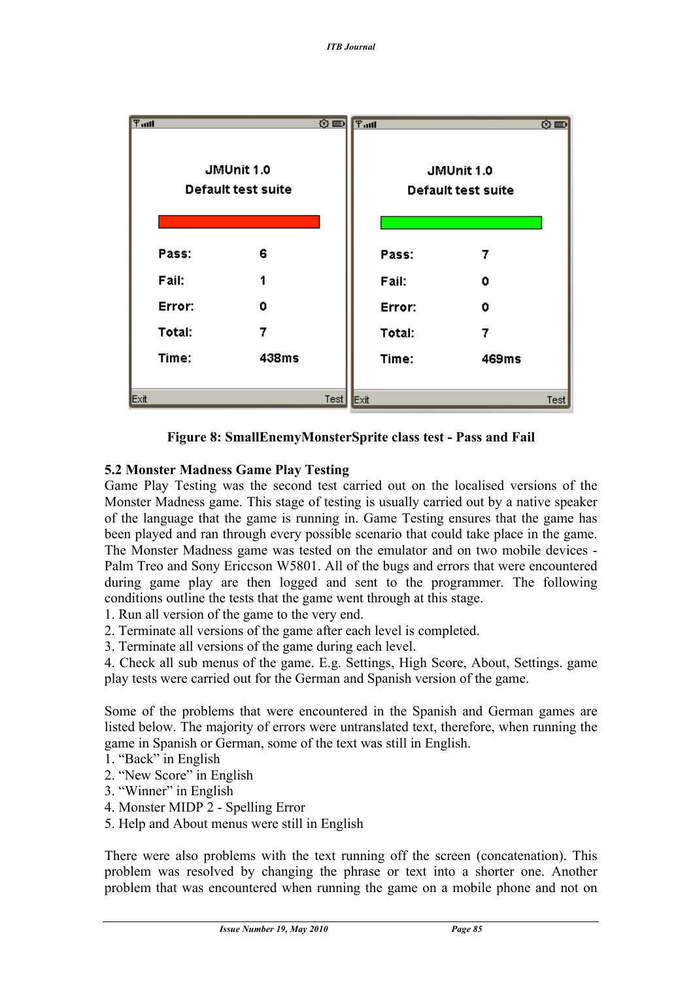

**Figure 8: SmallEnemyMonsterSprite class test - Pass and Fail**

## **5.2 Monster Madness Game Play Testing**

Game Play Testing was the second test carried out on the localised versions of the Monster Madness game. This stage of testing is usually carried out by a native speaker of the language that the game is running in. Game Testing ensures that the game has been played and ran through every possible scenario that could take place in the game. The Monster Madness game was tested on the emulator and on two mobile devices - Palm Treo and Sony Ericcson W5801. All of the bugs and errors that were encountered during game play are then logged and sent to the programmer. The following conditions outline the tests that the game went through at this stage.

- 1. Run all version of the game to the very end.
- 2. Terminate all versions of the game after each level is completed.
- 3. Terminate all versions of the game during each level.

4. Check all sub menus of the game. E.g. Settings, High Score, About, Settings. game play tests were carried out for the German and Spanish version of the game.

Some of the problems that were encountered in the Spanish and German games are listed below. The majority of errors were untranslated text, therefore, when running the game in Spanish or German, some of the text was still in English.

- 1. "Back" in English
- 2. "New Score" in English
- 3. "Winner" in English
- 4. Monster MIDP 2 Spelling Error
- 5. Help and About menus were still in English

There were also problems with the text running off the screen (concatenation). This problem was resolved by changing the phrase or text into a shorter one. Another problem that was encountered when running the game on a mobile phone and not on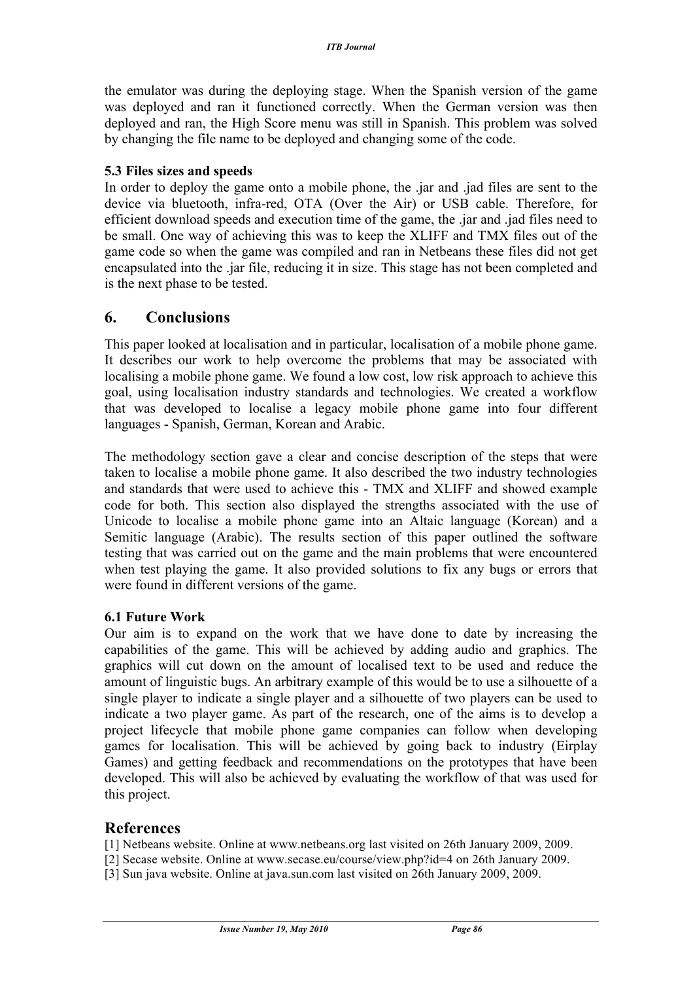the emulator was during the deploying stage. When the Spanish version of the game was deployed and ran it functioned correctly. When the German version was then deployed and ran, the High Score menu was still in Spanish. This problem was solved by changing the file name to be deployed and changing some of the code.

#### **5.3 Files sizes and speeds**

In order to deploy the game onto a mobile phone, the .jar and .jad files are sent to the device via bluetooth, infra-red, OTA (Over the Air) or USB cable. Therefore, for efficient download speeds and execution time of the game, the .jar and .jad files need to be small. One way of achieving this was to keep the XLIFF and TMX files out of the game code so when the game was compiled and ran in Netbeans these files did not get encapsulated into the .jar file, reducing it in size. This stage has not been completed and is the next phase to be tested.

## **6. Conclusions**

This paper looked at localisation and in particular, localisation of a mobile phone game. It describes our work to help overcome the problems that may be associated with localising a mobile phone game. We found a low cost, low risk approach to achieve this goal, using localisation industry standards and technologies. We created a workflow that was developed to localise a legacy mobile phone game into four different languages - Spanish, German, Korean and Arabic.

The methodology section gave a clear and concise description of the steps that were taken to localise a mobile phone game. It also described the two industry technologies and standards that were used to achieve this - TMX and XLIFF and showed example code for both. This section also displayed the strengths associated with the use of Unicode to localise a mobile phone game into an Altaic language (Korean) and a Semitic language (Arabic). The results section of this paper outlined the software testing that was carried out on the game and the main problems that were encountered when test playing the game. It also provided solutions to fix any bugs or errors that were found in different versions of the game.

#### **6.1 Future Work**

Our aim is to expand on the work that we have done to date by increasing the capabilities of the game. This will be achieved by adding audio and graphics. The graphics will cut down on the amount of localised text to be used and reduce the amount of linguistic bugs. An arbitrary example of this would be to use a silhouette of a single player to indicate a single player and a silhouette of two players can be used to indicate a two player game. As part of the research, one of the aims is to develop a project lifecycle that mobile phone game companies can follow when developing games for localisation. This will be achieved by going back to industry (Eirplay Games) and getting feedback and recommendations on the prototypes that have been developed. This will also be achieved by evaluating the workflow of that was used for this project.

#### **References**

- [1] Netbeans website. Online at www.netbeans.org last visited on 26th January 2009, 2009.
- [2] Secase website. Online at www.secase.eu/course/view.php?id=4 on 26th January 2009.
- [3] Sun java website. Online at java.sun.com last visited on 26th January 2009, 2009.